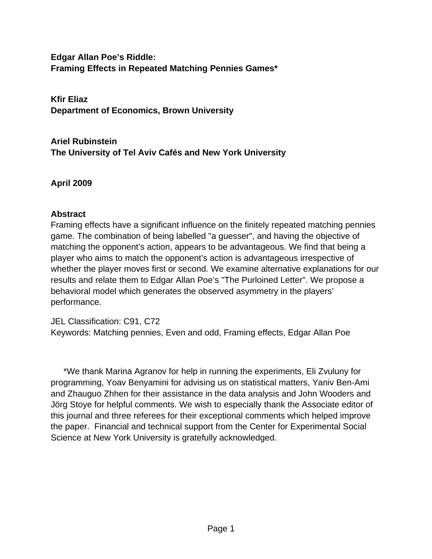**Edgar Allan Poe's Riddle: Framing Effects in Repeated Matching Pennies Games\***

**Kfir Eliaz Department of Economics, Brown University**

**Ariel Rubinstein The University of Tel Aviv Cafés and New York University**

**April 2009**

### **Abstract**

Framing effects have a significant influence on the finitely repeated matching pennies game. The combination of being labelled "a guesser", and having the objective of matching the opponent's action, appears to be advantageous. We find that being a player who aims to match the opponent's action is advantageous irrespective of whether the player moves first or second. We examine alternative explanations for our results and relate them to Edgar Allan Poe's "The Purloined Letter". We propose a behavioral model which generates the observed asymmetry in the players' performance.

JEL Classification: C91, C72 Keywords: Matching pennies, Even and odd, Framing effects, Edgar Allan Poe

\*We thank Marina Agranov for help in running the experiments, Eli Zvuluny for programming, Yoav Benyamini for advising us on statistical matters, Yaniv Ben-Ami and Zhauguo Zhhen for their assistance in the data analysis and John Wooders and Jörg Stoye for helpful comments. We wish to especially thank the Associate editor of this journal and three referees for their exceptional comments which helped improve the paper. Financial and technical support from the Center for Experimental Social Science at New York University is gratefully acknowledged.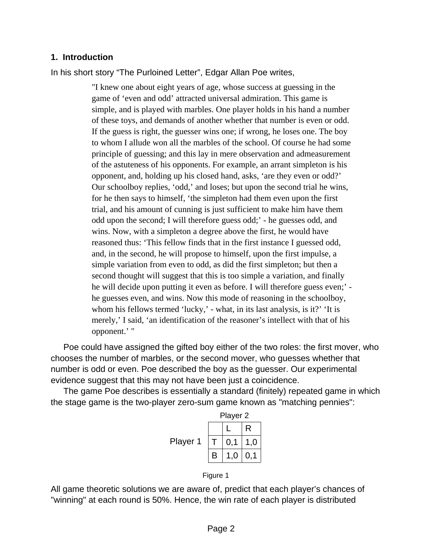#### **1. Introduction**

In his short story "The Purloined Letter", Edgar Allan Poe writes,

"I knew one about eight years of age, whose success at guessing in the game of 'even and odd' attracted universal admiration. This game is simple, and is played with marbles. One player holds in his hand a number of these toys, and demands of another whether that number is even or odd. If the guess is right, the guesser wins one; if wrong, he loses one. The boy to whom I allude won all the marbles of the school. Of course he had some principle of guessing; and this lay in mere observation and admeasurement of the astuteness of his opponents. For example, an arrant simpleton is his opponent, and, holding up his closed hand, asks, 'are they even or odd?' Our schoolboy replies, 'odd,' and loses; but upon the second trial he wins, for he then says to himself, 'the simpleton had them even upon the first trial, and his amount of cunning is just sufficient to make him have them odd upon the second; I will therefore guess odd;' - he guesses odd, and wins. Now, with a simpleton a degree above the first, he would have reasoned thus: 'This fellow finds that in the first instance I guessed odd, and, in the second, he will propose to himself, upon the first impulse, a simple variation from even to odd, as did the first simpleton; but then a second thought will suggest that this is too simple a variation, and finally he will decide upon putting it even as before. I will therefore guess even;' he guesses even, and wins. Now this mode of reasoning in the schoolboy, whom his fellows termed 'lucky,' - what, in its last analysis, is it?' 'It is merely,' I said, 'an identification of the reasoner's intellect with that of his opponent.' "

Poe could have assigned the gifted boy either of the two roles: the first mover, who chooses the number of marbles, or the second mover, who guesses whether that number is odd or even. Poe described the boy as the guesser. Our experimental evidence suggest that this may not have been just a coincidence.

The game Poe describes is essentially a standard (finitely) repeated game in which the stage game is the two-player zero-sum game known as "matching pennies":



#### Figure 1

All game theoretic solutions we are aware of, predict that each player's chances of "winning" at each round is 50%. Hence, the win rate of each player is distributed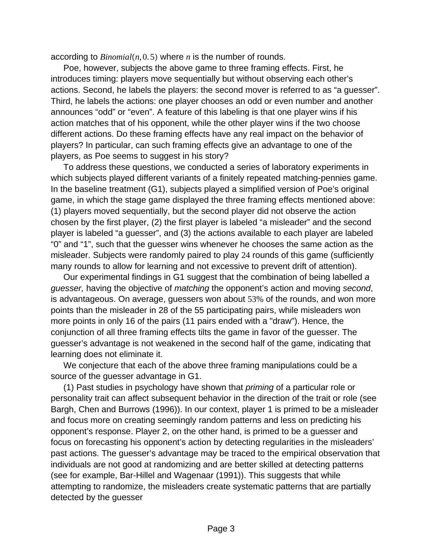according to *Binomial*(n, 0.5) where *n* is the number of rounds.

Poe, however, subjects the above game to three framing effects. First, he introduces timing: players move sequentially but without observing each other's actions. Second, he labels the players: the second mover is referred to as "a guesser". Third, he labels the actions: one player chooses an odd or even number and another announces "odd" or "even". A feature of this labeling is that one player wins if his action matches that of his opponent, while the other player wins if the two choose different actions. Do these framing effects have any real impact on the behavior of players? In particular, can such framing effects give an advantage to one of the players, as Poe seems to suggest in his story?

To address these questions, we conducted a series of laboratory experiments in which subjects played different variants of a finitely repeated matching-pennies game. In the baseline treatment (G1), subjects played a simplified version of Poe's original game, in which the stage game displayed the three framing effects mentioned above: (1) players moved sequentially, but the second player did not observe the action chosen by the first player, (2) the first player is labeled "a misleader" and the second player is labeled "a guesser", and (3) the actions available to each player are labeled "0" and "1", such that the guesser wins whenever he chooses the same action as the misleader. Subjects were randomly paired to play 24 rounds of this game (sufficiently many rounds to allow for learning and not excessive to prevent drift of attention).

Our experimental findings in G1 suggest that the combination of being labelled *a guesser,* having the objective of *matching* the opponent's action and moving *second*, is advantageous. On average, guessers won about 53% of the rounds, and won more points than the misleader in 28 of the 55 participating pairs, while misleaders won more points in only 16 of the pairs (11 pairs ended with a "draw"). Hence, the conjunction of all three framing effects tilts the game in favor of the guesser. The guesser's advantage is not weakened in the second half of the game, indicating that learning does not eliminate it.

We conjecture that each of the above three framing manipulations could be a source of the guesser advantage in G1.

(1) Past studies in psychology have shown that *priming* of a particular role or personality trait can affect subsequent behavior in the direction of the trait or role (see Bargh, Chen and Burrows (1996)). In our context, player 1 is primed to be a misleader and focus more on creating seemingly random patterns and less on predicting his opponent's response. Player 2, on the other hand, is primed to be a guesser and focus on forecasting his opponent's action by detecting regularities in the misleaders' past actions. The guesser's advantage may be traced to the empirical observation that individuals are not good at randomizing and are better skilled at detecting patterns (see for example, Bar-Hillel and Wagenaar (1991)). This suggests that while attempting to randomize, the misleaders create systematic patterns that are partially detected by the guesser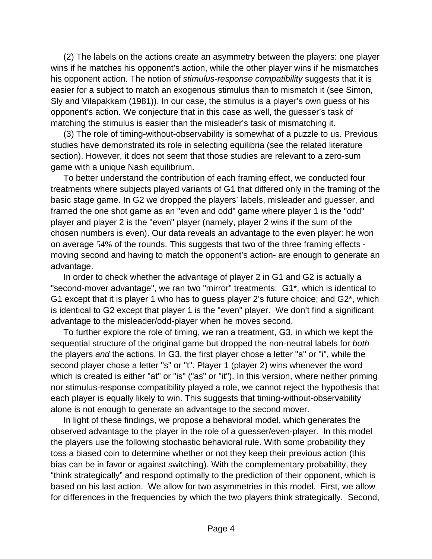(2) The labels on the actions create an asymmetry between the players: one player wins if he matches his opponent's action, while the other player wins if he mismatches his opponent action. The notion of *stimulus-response compatibility* suggests that it is easier for a subject to match an exogenous stimulus than to mismatch it (see Simon, Sly and Vilapakkam (1981)). In our case, the stimulus is a player's own guess of his opponent's action. We conjecture that in this case as well, the guesser's task of matching the stimulus is easier than the misleader's task of mismatching it.

(3) The role of timing-without-observability is somewhat of a puzzle to us. Previous studies have demonstrated its role in selecting equilibria (see the related literature section). However, it does not seem that those studies are relevant to a zero-sum game with a unique Nash equilibrium.

To better understand the contribution of each framing effect, we conducted four treatments where subjects played variants of G1 that differed only in the framing of the basic stage game. In G2 we dropped the players' labels, misleader and guesser, and framed the one shot game as an "even and odd" game where player 1 is the "odd" player and player 2 is the "even" player (namely, player 2 wins if the sum of the chosen numbers is even). Our data reveals an advantage to the even player: he won on average 54% of the rounds. This suggests that two of the three framing effects moving second and having to match the opponent's action- are enough to generate an advantage.

In order to check whether the advantage of player 2 in G1 and G2 is actually a "second-mover advantage", we ran two "mirror" treatments: G1\*, which is identical to G1 except that it is player 1 who has to guess player 2's future choice; and G2\*, which is identical to G2 except that player 1 is the "even" player. We don't find a significant advantage to the misleader/odd-player when he moves second.

To further explore the role of timing, we ran a treatment, G3, in which we kept the sequential structure of the original game but dropped the non-neutral labels for *both* the players *and* the actions. In G3, the first player chose a letter "a" or "i", while the second player chose a letter "s" or "t". Player 1 (player 2) wins whenever the word which is created is either "at" or "is" ("as" or "it"). In this version, where neither priming nor stimulus-response compatibility played a role, we cannot reject the hypothesis that each player is equally likely to win. This suggests that timing-without-observability alone is not enough to generate an advantage to the second mover.

In light of these findings, we propose a behavioral model, which generates the observed advantage to the player in the role of a guesser/even-player. In this model the players use the following stochastic behavioral rule. With some probability they toss a biased coin to determine whether or not they keep their previous action (this bias can be in favor or against switching). With the complementary probability, they "think strategically" and respond optimally to the prediction of their opponent, which is based on his last action. We allow for two asymmetries in this model. First, we allow for differences in the frequencies by which the two players think strategically. Second,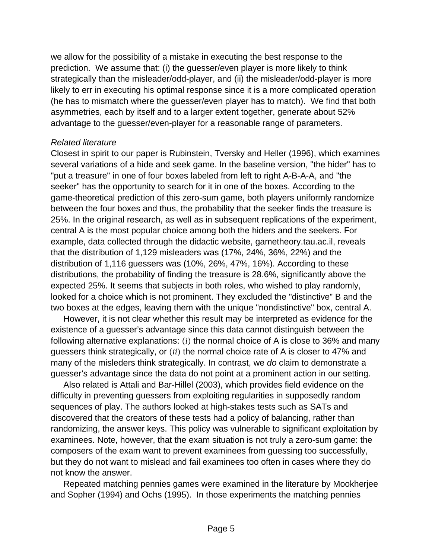we allow for the possibility of a mistake in executing the best response to the prediction. We assume that: (i) the guesser/even player is more likely to think strategically than the misleader/odd-player, and (ii) the misleader/odd-player is more likely to err in executing his optimal response since it is a more complicated operation (he has to mismatch where the guesser/even player has to match). We find that both asymmetries, each by itself and to a larger extent together, generate about 52% advantage to the guesser/even-player for a reasonable range of parameters.

#### *Related literature*

Closest in spirit to our paper is Rubinstein, Tversky and Heller (1996), which examines several variations of a hide and seek game. In the baseline version, "the hider" has to "put a treasure" in one of four boxes labeled from left to right A-B-A-A, and "the seeker" has the opportunity to search for it in one of the boxes. According to the game-theoretical prediction of this zero-sum game, both players uniformly randomize between the four boxes and thus, the probability that the seeker finds the treasure is 25%. In the original research, as well as in subsequent replications of the experiment, central A is the most popular choice among both the hiders and the seekers. For example, data collected through the didactic website, gametheory.tau.ac.il, reveals that the distribution of 1,129 misleaders was (17%, 24%, 36%, 22%) and the distribution of 1,116 guessers was (10%, 26%, 47%, 16%). According to these distributions, the probability of finding the treasure is 28.6%, significantly above the expected 25%. It seems that subjects in both roles, who wished to play randomly, looked for a choice which is not prominent. They excluded the "distinctive" B and the two boxes at the edges, leaving them with the unique "nondistinctive" box, central A.

However, it is not clear whether this result may be interpreted as evidence for the existence of a guesser's advantage since this data cannot distinguish between the following alternative explanations: *(i)* the normal choice of A is close to 36% and many guessers think strategically, or *ii* the normal choice rate of A is closer to 47% and many of the misleders think strategically. In contrast, we *do* claim to demonstrate a guesser's advantage since the data do not point at a prominent action in our setting.

Also related is Attali and Bar-Hillel (2003), which provides field evidence on the difficulty in preventing guessers from exploiting regularities in supposedly random sequences of play. The authors looked at high-stakes tests such as SATs and discovered that the creators of these tests had a policy of balancing, rather than randomizing, the answer keys. This policy was vulnerable to significant exploitation by examinees. Note, however, that the exam situation is not truly a zero-sum game: the composers of the exam want to prevent examinees from guessing too successfully, but they do not want to mislead and fail examinees too often in cases where they do not know the answer.

Repeated matching pennies games were examined in the literature by Mookherjee and Sopher (1994) and Ochs (1995). In those experiments the matching pennies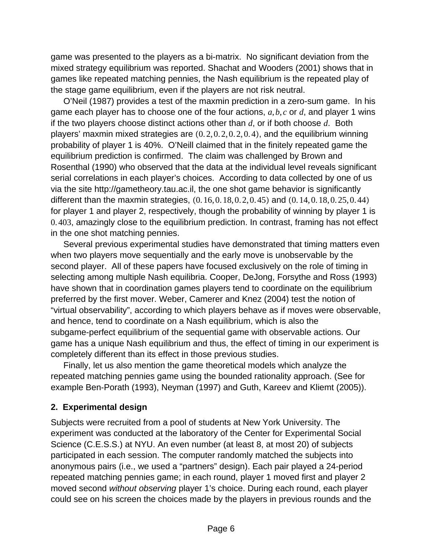game was presented to the players as a bi-matrix. No significant deviation from the mixed strategy equilibrium was reported. Shachat and Wooders (2001) shows that in games like repeated matching pennies, the Nash equilibrium is the repeated play of the stage game equilibrium, even if the players are not risk neutral.

O'Neil (1987) provides a test of the maxmin prediction in a zero-sum game. In his game each player has to choose one of the four actions, *a*,*b*, *c* or *d*, and player 1 wins if the two players choose distinct actions other than *d*, or if both choose *d*. Both players' maxmin mixed strategies are  $(0.2, 0.2, 0.2, 0.4)$ , and the equilibrium winning probability of player 1 is 40%. O'Neill claimed that in the finitely repeated game the equilibrium prediction is confirmed. The claim was challenged by Brown and Rosenthal (1990) who observed that the data at the individual level reveals significant serial correlations in each player's choices. According to data collected by one of us via the site http://gametheory.tau.ac.il, the one shot game behavior is significantly different than the maxmin strategies,  $(0.16, 0.18, 0.2, 0.45)$  and  $(0.14, 0.18, 0.25, 0.44)$ for player 1 and player 2, respectively, though the probability of winning by player 1 is 0. 403, amazingly close to the equilibrium prediction. In contrast, framing has not effect in the one shot matching pennies.

Several previous experimental studies have demonstrated that timing matters even when two players move sequentially and the early move is unobservable by the second player. All of these papers have focused exclusively on the role of timing in selecting among multiple Nash equilibria. Cooper, DeJong, Forsythe and Ross (1993) have shown that in coordination games players tend to coordinate on the equilibrium preferred by the first mover. Weber, Camerer and Knez (2004) test the notion of "virtual observability", according to which players behave as if moves were observable, and hence, tend to coordinate on a Nash equilibrium, which is also the subgame-perfect equilibrium of the sequential game with observable actions. Our game has a unique Nash equilibrium and thus, the effect of timing in our experiment is completely different than its effect in those previous studies.

Finally, let us also mention the game theoretical models which analyze the repeated matching pennies game using the bounded rationality approach. (See for example Ben-Porath (1993), Neyman (1997) and Guth, Kareev and Kliemt (2005)).

### **2. Experimental design**

Subjects were recruited from a pool of students at New York University. The experiment was conducted at the laboratory of the Center for Experimental Social Science (C.E.S.S.) at NYU. An even number (at least 8, at most 20) of subjects participated in each session. The computer randomly matched the subjects into anonymous pairs (i.e., we used a "partners" design). Each pair played a 24-period repeated matching pennies game; in each round, player 1 moved first and player 2 moved second *without observing* player 1's choice. During each round, each player could see on his screen the choices made by the players in previous rounds and the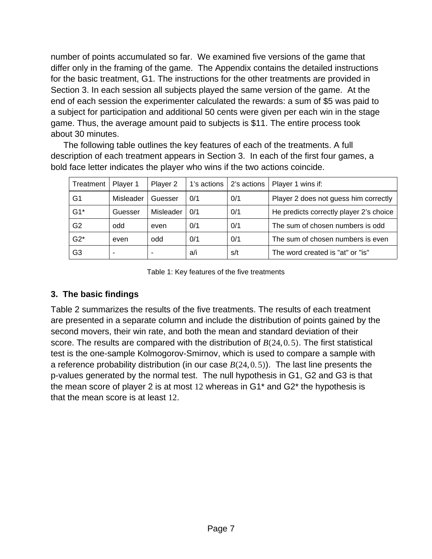number of points accumulated so far. We examined five versions of the game that differ only in the framing of the game. The Appendix contains the detailed instructions for the basic treatment, G1. The instructions for the other treatments are provided in Section 3. In each session all subjects played the same version of the game. At the end of each session the experimenter calculated the rewards: a sum of \$5 was paid to a subject for participation and additional 50 cents were given per each win in the stage game. Thus, the average amount paid to subjects is \$11. The entire process took about 30 minutes.

The following table outlines the key features of each of the treatments. A full description of each treatment appears in Section 3. In each of the first four games, a bold face letter indicates the player who wins if the two actions coincide.

| Treatment      | Player 1  | Player 2  | 1's actions | 2's actions | Player 1 wins if:                       |
|----------------|-----------|-----------|-------------|-------------|-----------------------------------------|
| G1             | Misleader | Guesser   | 0/1         | 0/1         | Player 2 does not guess him correctly   |
| $G1*$          | Guesser   | Misleader | 0/1         | 0/1         | He predicts correctly player 2's choice |
| G <sub>2</sub> | odd       | even      | 0/1         | 0/1         | The sum of chosen numbers is odd        |
| $G2*$          | even      | odd       | 0/1         | 0/1         | The sum of chosen numbers is even       |
| G3             | ٠         |           | a/i         | s/t         | The word created is "at" or "is"        |

Table 1: Key features of the five treatments

# **3. The basic findings**

Table 2 summarizes the results of the five treatments. The results of each treatment are presented in a separate column and include the distribution of points gained by the second movers, their win rate, and both the mean and standard deviation of their score. The results are compared with the distribution of  $B(24, 0.5)$ . The first statistical test is the one-sample Kolmogorov-Smirnov, which is used to compare a sample with a reference probability distribution (in our case  $B(24, 0.5)$ ). The last line presents the p-values generated by the normal test. The null hypothesis in G1, G2 and G3 is that the mean score of player 2 is at most 12 whereas in G1\* and G2\* the hypothesis is that the mean score is at least 12.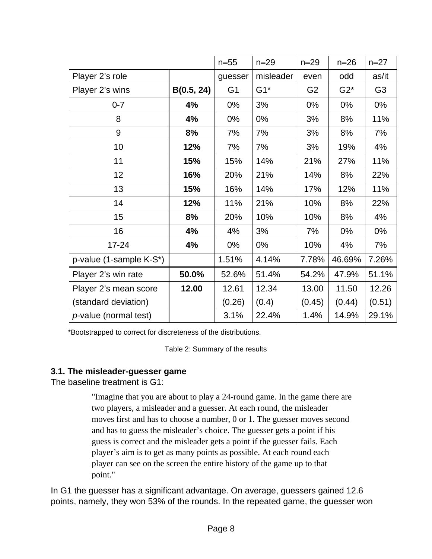|                               |            | $n = 55$       | $n = 29$  | $n = 29$       | $n = 26$ | $n = 27$       |
|-------------------------------|------------|----------------|-----------|----------------|----------|----------------|
| Player 2's role               |            | guesser        | misleader | even           | odd      | as/it          |
| Player 2's wins               | B(0.5, 24) | G <sub>1</sub> | $G1*$     | G <sub>2</sub> | $G2^*$   | G <sub>3</sub> |
| $0 - 7$                       | 4%         | 0%             | 3%        | 0%             | 0%       | $0\%$          |
| 8                             | 4%         | 0%             | 0%        | 3%             | 8%       | 11%            |
| 9                             | 8%         | 7%             | 7%        | 3%             | 8%       | 7%             |
| 10                            | 12%        | 7%             | 7%        | 3%             | 19%      | 4%             |
| 11                            | 15%        | 15%            | 14%       | 21%            | 27%      | 11%            |
| 12                            | 16%        | 20%            | 21%       | 14%            | 8%       | 22%            |
| 13                            | 15%        | 16%            | 14%       | 17%            | 12%      | 11%            |
| 14                            | 12%        | 11%            | 21%       | 10%            | 8%       | 22%            |
| 15                            | 8%         | 20%            | 10%       | 10%            | 8%       | 4%             |
| 16                            | 4%         | 4%             | 3%        | 7%             | $0\%$    | $0\%$          |
| $17 - 24$                     | 4%         | 0%             | 0%        | 10%            | 4%       | 7%             |
| p-value (1-sample K-S*)       |            | 1.51%          | 4.14%     | 7.78%          | 46.69%   | 7.26%          |
| Player 2's win rate           | 50.0%      | 52.6%          | 51.4%     | 54.2%          | 47.9%    | 51.1%          |
| Player 2's mean score         | 12.00      | 12.61          | 12.34     | 13.00          | 11.50    | 12.26          |
| (standard deviation)          |            | (0.26)         | (0.4)     | (0.45)         | (0.44)   | (0.51)         |
| <i>p</i> -value (normal test) |            | 3.1%           | 22.4%     | 1.4%           | 14.9%    | 29.1%          |

\*Bootstrapped to correct for discreteness of the distributions.

Table 2: Summary of the results

# **3.1. The misleader-guesser game**

The baseline treatment is G1:

"Imagine that you are about to play a 24-round game. In the game there are two players, a misleader and a guesser. At each round, the misleader moves first and has to choose a number, 0 or 1. The guesser moves second and has to guess the misleader's choice. The guesser gets a point if his guess is correct and the misleader gets a point if the guesser fails. Each player's aim is to get as many points as possible. At each round each player can see on the screen the entire history of the game up to that point."

In G1 the guesser has a significant advantage. On average, guessers gained 12.6 points, namely, they won 53% of the rounds. In the repeated game, the guesser won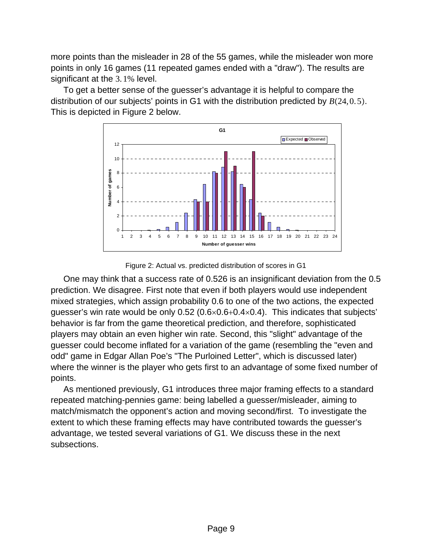more points than the misleader in 28 of the 55 games, while the misleader won more points in only 16 games (11 repeated games ended with a "draw"). The results are significant at the 3. 1% level.

To get a better sense of the guesser's advantage it is helpful to compare the distribution of our subjects' points in G1 with the distribution predicted by  $B(24, 0.5)$ . This is depicted in Figure 2 below.





One may think that a success rate of 0.526 is an insignificant deviation from the 0.5 prediction. We disagree. First note that even if both players would use independent mixed strategies, which assign probability 0.6 to one of the two actions, the expected guesser's win rate would be only 0.52 ( $0.6 \times 0.6 + 0.4 \times 0.4$ ). This indicates that subjects' behavior is far from the game theoretical prediction, and therefore, sophisticated players may obtain an even higher win rate. Second, this "slight" advantage of the guesser could become inflated for a variation of the game (resembling the "even and odd" game in Edgar Allan Poe's "The Purloined Letter", which is discussed later) where the winner is the player who gets first to an advantage of some fixed number of points.

As mentioned previously, G1 introduces three major framing effects to a standard repeated matching-pennies game: being labelled a guesser/misleader, aiming to match/mismatch the opponent's action and moving second/first. To investigate the extent to which these framing effects may have contributed towards the guesser's advantage, we tested several variations of G1. We discuss these in the next subsections.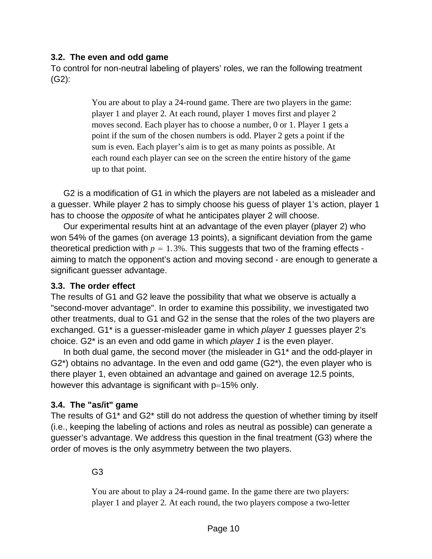### **3.2. The even and odd game**

To control for non-neutral labeling of players' roles, we ran the following treatment (G2):

> You are about to play a 24-round game. There are two players in the game: player 1 and player 2. At each round, player 1 moves first and player 2 moves second. Each player has to choose a number, 0 or 1. Player 1 gets a point if the sum of the chosen numbers is odd. Player 2 gets a point if the sum is even. Each player's aim is to get as many points as possible. At each round each player can see on the screen the entire history of the game up to that point.

G2 is a modification of G1 in which the players are not labeled as a misleader and a guesser. While player 2 has to simply choose his guess of player 1's action, player 1 has to choose the *opposite* of what he anticipates player 2 will choose.

Our experimental results hint at an advantage of the even player (player 2) who won 54% of the games (on average 13 points), a significant deviation from the game theoretical prediction with  $p = 1.3\%$ . This suggests that two of the framing effects aiming to match the opponent's action and moving second - are enough to generate a significant guesser advantage.

### **3.3. The order effect**

The results of G1 and G2 leave the possibility that what we observe is actually a "second-mover advantage". In order to examine this possibility, we investigated two other treatments, dual to G1 and G2 in the sense that the roles of the two players are exchanged. G1\* is a guesser-misleader game in which *player 1* guesses player 2's choice. G2\* is an even and odd game in which *player 1* is the even player.

In both dual game, the second mover (the misleader in G1\* and the odd-player in G2\*) obtains no advantage. In the even and odd game (G2\*), the even player who is there player 1, even obtained an advantage and gained on average 12.5 points, however this advantage is significant with  $p=15%$  only.

# **3.4. The "as/it" game**

The results of G1\* and G2\* still do not address the question of whether timing by itself (i.e., keeping the labeling of actions and roles as neutral as possible) can generate a guesser's advantage. We address this question in the final treatment (G3) where the order of moves is the only asymmetry between the two players.

# G3

You are about to play a 24-round game. In the game there are two players: player 1 and player 2. At each round, the two players compose a two-letter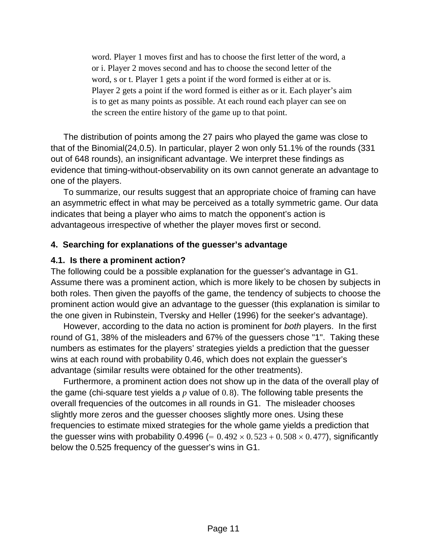word. Player 1 moves first and has to choose the first letter of the word, a or i. Player 2 moves second and has to choose the second letter of the word, s or t. Player 1 gets a point if the word formed is either at or is. Player 2 gets a point if the word formed is either as or it. Each player's aim is to get as many points as possible. At each round each player can see on the screen the entire history of the game up to that point.

The distribution of points among the 27 pairs who played the game was close to that of the Binomial(24,0.5). In particular, player 2 won only 51.1% of the rounds (331 out of 648 rounds), an insignificant advantage. We interpret these findings as evidence that timing-without-observability on its own cannot generate an advantage to one of the players.

To summarize, our results suggest that an appropriate choice of framing can have an asymmetric effect in what may be perceived as a totally symmetric game. Our data indicates that being a player who aims to match the opponent's action is advantageous irrespective of whether the player moves first or second.

### **4. Searching for explanations of the guesser's advantage**

#### **4.1. Is there a prominent action?**

The following could be a possible explanation for the guesser's advantage in G1. Assume there was a prominent action, which is more likely to be chosen by subjects in both roles. Then given the payoffs of the game, the tendency of subjects to choose the prominent action would give an advantage to the guesser (this explanation is similar to the one given in Rubinstein, Tversky and Heller (1996) for the seeker's advantage).

However, according to the data no action is prominent for *both* players. In the first round of G1, 38% of the misleaders and 67% of the guessers chose "1". Taking these numbers as estimates for the players' strategies yields a prediction that the guesser wins at each round with probability 0.46, which does not explain the guesser's advantage (similar results were obtained for the other treatments).

Furthermore, a prominent action does not show up in the data of the overall play of the game (chi-square test yields a *p* value of 0. 8). The following table presents the overall frequencies of the outcomes in all rounds in G1. The misleader chooses slightly more zeros and the guesser chooses slightly more ones. Using these frequencies to estimate mixed strategies for the whole game yields a prediction that the guesser wins with probability 0.4996 (=  $0.492 \times 0.523 + 0.508 \times 0.477$ ), significantly below the 0.525 frequency of the guesser's wins in G1.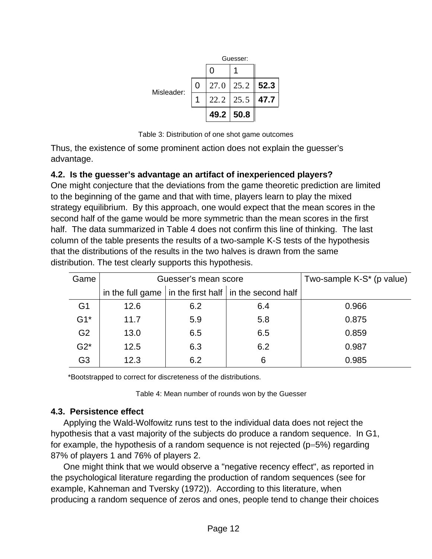|            |   | Guesser:   |                  |      |
|------------|---|------------|------------------|------|
|            |   | $\left($ ) |                  |      |
| Misleader: | 0 |            | $27.0$   $25.2$  | 52.3 |
|            |   |            | $22.2$   25.5    | 47.7 |
|            |   |            | $49.2 \mid 50.8$ |      |

Table 3: Distribution of one shot game outcomes

Thus, the existence of some prominent action does not explain the guesser's advantage.

# **4.2. Is the guesser's advantage an artifact of inexperienced players?**

One might conjecture that the deviations from the game theoretic prediction are limited to the beginning of the game and that with time, players learn to play the mixed strategy equilibrium. By this approach, one would expect that the mean scores in the second half of the game would be more symmetric than the mean scores in the first half. The data summarized in Table 4 does not confirm this line of thinking. The last column of the table presents the results of a two-sample K-S tests of the hypothesis that the distributions of the results in the two halves is drawn from the same distribution. The test clearly supports this hypothesis.

| Game           |      | Guesser's mean score | Two-sample K-S <sup>*</sup> (p value)                         |       |
|----------------|------|----------------------|---------------------------------------------------------------|-------|
|                |      |                      | in the full game $ $ in the first half $ $ in the second half |       |
| G <sub>1</sub> | 12.6 | 6.2                  | 6.4                                                           | 0.966 |
| $G1*$          | 11.7 | 5.9                  | 5.8                                                           | 0.875 |
| G <sub>2</sub> | 13.0 | 6.5                  | 6.5                                                           | 0.859 |
| $G2^*$         | 12.5 | 6.3                  | 6.2                                                           | 0.987 |
| G <sub>3</sub> | 12.3 | 6.2                  | 6                                                             | 0.985 |

\*Bootstrapped to correct for discreteness of the distributions.

Table 4: Mean number of rounds won by the Guesser

# **4.3. Persistence effect**

Applying the Wald-Wolfowitz runs test to the individual data does not reject the hypothesis that a vast majority of the subjects do produce a random sequence. In G1, for example, the hypothesis of a random sequence is not rejected ( $p=5\%$ ) regarding 87% of players 1 and 76% of players 2.

One might think that we would observe a "negative recency effect", as reported in the psychological literature regarding the production of random sequences (see for example, Kahneman and Tversky (1972)). According to this literature, when producing a random sequence of zeros and ones, people tend to change their choices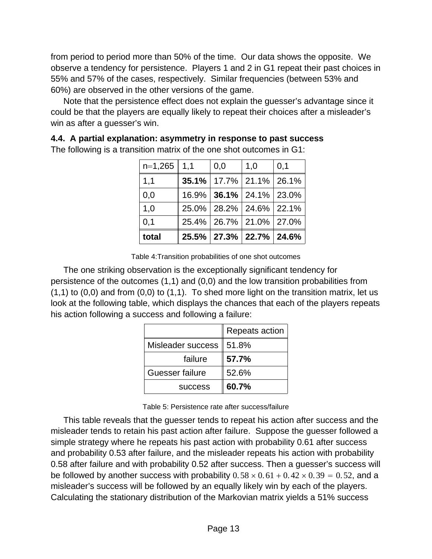from period to period more than 50% of the time. Our data shows the opposite. We observe a tendency for persistence. Players 1 and 2 in G1 repeat their past choices in 55% and 57% of the cases, respectively. Similar frequencies (between 53% and 60%) are observed in the other versions of the game.

Note that the persistence effect does not explain the guesser's advantage since it could be that the players are equally likely to repeat their choices after a misleader's win as after a guesser's win.

| total           |                                         | 25.5% 27.3% 22.7% 24.6% |     |
|-----------------|-----------------------------------------|-------------------------|-----|
| 0,1             | 25.4%   26.7%   21.0%   27.0%           |                         |     |
| 1,0             | 25.0%   28.2%   24.6%   22.1%           |                         |     |
| 0,0             | $16.9\%$   <b>36.1%</b>   24.1%   23.0% |                         |     |
| 1,1             | $35.1\%$   17.7%   21.1%   26.1%        |                         |     |
| $n=1,265$   1,1 | 0,0                                     | 1,0                     | 0,1 |

**4.4. A partial explanation: asymmetry in response to past success** The following is a transition matrix of the one shot outcomes in G1:

Table 4:Transition probabilities of one shot outcomes

The one striking observation is the exceptionally significant tendency for persistence of the outcomes (1,1) and (0,0) and the low transition probabilities from  $(1,1)$  to  $(0,0)$  and from  $(0,0)$  to  $(1,1)$ . To shed more light on the transition matrix, let us look at the following table, which displays the chances that each of the players repeats his action following a success and following a failure:

|                   | Repeats action |
|-------------------|----------------|
| Misleader success | 51.8%          |
| failure           | 57.7%          |
| Guesser failure   | 52.6%          |
| <b>SUCCESS</b>    | 60.7%          |

Table 5: Persistence rate after success/failure

This table reveals that the guesser tends to repeat his action after success and the misleader tends to retain his past action after failure. Suppose the guesser followed a simple strategy where he repeats his past action with probability 0.61 after success and probability 0.53 after failure, and the misleader repeats his action with probability 0.58 after failure and with probability 0.52 after success. Then a guesser's success will be followed by another success with probability  $0.58 \times 0.61 + 0.42 \times 0.39 = 0.52$ , and a misleader's success will be followed by an equally likely win by each of the players. Calculating the stationary distribution of the Markovian matrix yields a 51% success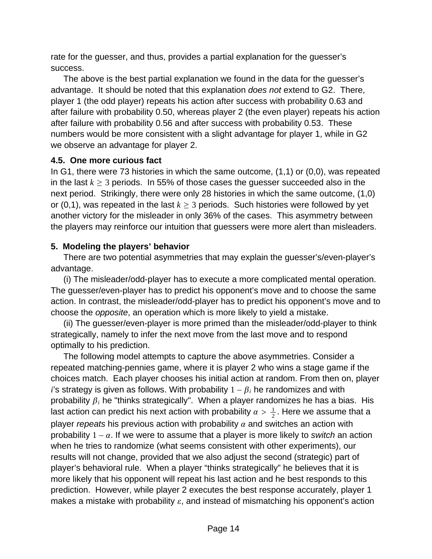rate for the guesser, and thus, provides a partial explanation for the guesser's success.

The above is the best partial explanation we found in the data for the guesser's advantage. It should be noted that this explanation *does not* extend to G2. There, player 1 (the odd player) repeats his action after success with probability 0.63 and after failure with probability 0.50, whereas player 2 (the even player) repeats his action after failure with probability 0.56 and after success with probability 0.53. These numbers would be more consistent with a slight advantage for player 1, while in G2 we observe an advantage for player 2.

### **4.5. One more curious fact**

In G1, there were 73 histories in which the same outcome, (1,1) or (0,0), was repeated in the last  $k \geq 3$  periods. In 55% of those cases the guesser succeeded also in the next period. Strikingly, there were only 28 histories in which the same outcome, (1,0) or (0,1), was repeated in the last  $k \geq 3$  periods. Such histories were followed by yet another victory for the misleader in only 36% of the cases. This asymmetry between the players may reinforce our intuition that guessers were more alert than misleaders.

### **5. Modeling the players' behavior**

There are two potential asymmetries that may explain the guesser's/even-player's advantage.

(i) The misleader/odd-player has to execute a more complicated mental operation. The guesser/even-player has to predict his opponent's move and to choose the same action. In contrast, the misleader/odd-player has to predict his opponent's move and to choose the *opposite*, an operation which is more likely to yield a mistake.

(ii) The guesser/even-player is more primed than the misleader/odd-player to think strategically, namely to infer the next move from the last move and to respond optimally to his prediction.

The following model attempts to capture the above asymmetries. Consider a repeated matching-pennies game, where it is player 2 who wins a stage game if the choices match. Each player chooses his initial action at random. From then on, player *i*'s strategy is given as follows. With probability  $1 - \beta_i$  he randomizes and with probability  $\beta_i$  he "thinks strategically". When a player randomizes he has a bias. His last action can predict his next action with probability  $\alpha > \frac{1}{2}.$  Here we assume that a player *repeats* his previous action with probability  $\alpha$  and switches an action with probability  $1 - \alpha$ . If we were to assume that a player is more likely to *switch* an action when he tries to randomize (what seems consistent with other experiments), our results will not change, provided that we also adjust the second (strategic) part of player's behavioral rule. When a player "thinks strategically" he believes that it is more likely that his opponent will repeat his last action and he best responds to this prediction. However, while player 2 executes the best response accurately, player 1 makes a mistake with probability  $\varepsilon$ , and instead of mismatching his opponent's action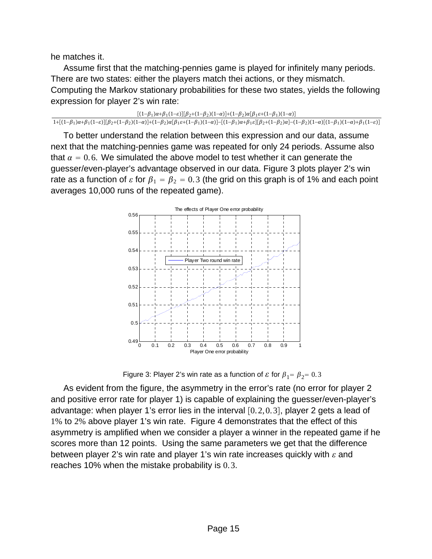he matches it.

Assume first that the matching-pennies game is played for infinitely many periods. There are two states: either the players match thei actions, or they mismatch. Computing the Markov stationary probabilities for these two states, yields the following expression for player 2's win rate:

```
[(1-\beta_1)\alpha+\beta_1(1-\varepsilon)][\beta_2+(1-\beta_2)(1-\alpha)]+(1-\beta_2)\alpha[\beta_1\varepsilon+(1-\beta_1)(1-\alpha)]\frac{1 + [(1-\beta_1)\alpha + \beta_1(1-\varepsilon)][\beta_2 + (1-\beta_2)(1-\alpha)] + (1-\beta_2)\alpha[\beta_1\varepsilon + (1-\beta_1)(1-\alpha)] - [(1-\beta_1)\alpha + \beta_1\varepsilon][\beta_2 + (1-\beta_2)\alpha] - (1-\beta_2)(1-\alpha)[(1-\beta_1)(1-\alpha)] + (1-\beta_2)\alpha[\beta_1\varepsilon + (1-\beta_1)(1-\alpha)] - (1-\beta_2)\alpha[\beta_1\varepsilon + (1-\beta_1)(1-\alpha)]
```
To better understand the relation between this expression and our data, assume next that the matching-pennies game was repeated for only 24 periods. Assume also that  $\alpha = 0.6$ . We simulated the above model to test whether it can generate the guesser/even-player's advantage observed in our data. Figure 3 plots player 2's win rate as a function of  $\epsilon$  for  $\beta_1 = \beta_2 = 0.3$  (the grid on this graph is of 1% and each point averages 10,000 runs of the repeated game).



Figure 3: Player 2's win rate as a function of  $\varepsilon$  for  $\beta_1 = \beta_2 = 0.3$ 

As evident from the figure, the asymmetry in the error's rate (no error for player 2 and positive error rate for player 1) is capable of explaining the guesser/even-player's advantage: when player 1's error lies in the interval  $[0.2, 0.3]$ , player 2 gets a lead of 1% to 2% above player 1's win rate. Figure 4 demonstrates that the effect of this asymmetry is amplified when we consider a player a winner in the repeated game if he scores more than 12 points. Using the same parameters we get that the difference between player 2's win rate and player 1's win rate increases quickly with  $\varepsilon$  and reaches 10% when the mistake probability is 0. 3.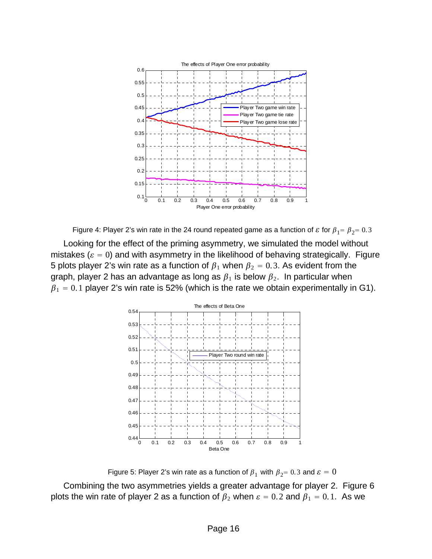

Figure 4: Player 2's win rate in the 24 round repeated game as a function of  $\varepsilon$  for  $\beta_1 = \beta_2 = 0.3$ 

Looking for the effect of the priming asymmetry, we simulated the model without mistakes ( $\varepsilon = 0$ ) and with asymmetry in the likelihood of behaving strategically. Figure 5 plots player 2's win rate as a function of  $\beta_1$  when  $\beta_2 = 0.3$ . As evident from the graph, player 2 has an advantage as long as  $\beta_1$  is below  $\beta_2$ . In particular when  $\beta_1 = 0.1$  player 2's win rate is 52% (which is the rate we obtain experimentally in G1).



Figure 5: Player 2's win rate as a function of  $\beta_1$  with  $\beta_2 = 0.3$  and  $\varepsilon = 0$ 

Combining the two asymmetries yields a greater advantage for player 2. Figure 6 plots the win rate of player 2 as a function of  $\beta_2$  when  $\varepsilon = 0.2$  and  $\beta_1 = 0.1$ . As we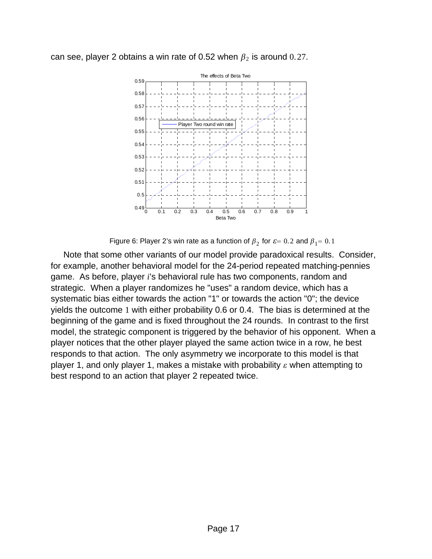



Figure 6: Player 2's win rate as a function of  $\beta_2$  for  $\varepsilon = 0.2$  and  $\beta_1 = 0.1$ 

Note that some other variants of our model provide paradoxical results. Consider, for example, another behavioral model for the 24-period repeated matching-pennies game. As before, player *i*'s behavioral rule has two components, random and strategic. When a player randomizes he "uses" a random device, which has a systematic bias either towards the action "1" or towards the action "0"; the device yields the outcome 1 with either probability 0.6 or 0.4. The bias is determined at the beginning of the game and is fixed throughout the 24 rounds. In contrast to the first model, the strategic component is triggered by the behavior of his opponent. When a player notices that the other player played the same action twice in a row, he best responds to that action. The only asymmetry we incorporate to this model is that player 1, and only player 1, makes a mistake with probability  $\varepsilon$  when attempting to best respond to an action that player 2 repeated twice.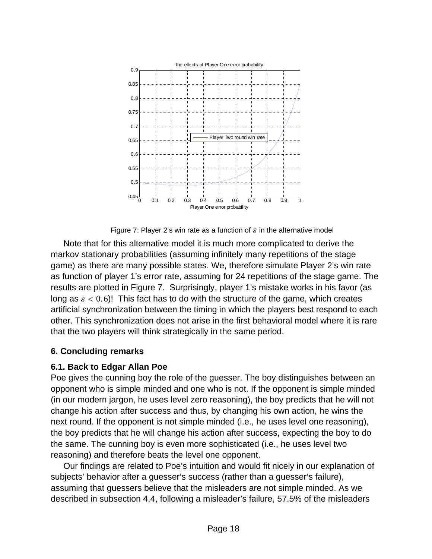

Figure 7: Player 2's win rate as a function of  $\varepsilon$  in the alternative model

Note that for this alternative model it is much more complicated to derive the markov stationary probabilities (assuming infinitely many repetitions of the stage game) as there are many possible states. We, therefore simulate Player 2's win rate as function of player 1's error rate, assuming for 24 repetitions of the stage game. The results are plotted in Figure 7. Surprisingly, player 1's mistake works in his favor (as long as  $\epsilon < 0.6$ ! This fact has to do with the structure of the game, which creates artificial synchronization between the timing in which the players best respond to each other. This synchronization does not arise in the first behavioral model where it is rare that the two players will think strategically in the same period.

# **6. Concluding remarks**

### **6.1. Back to Edgar Allan Poe**

Poe gives the cunning boy the role of the guesser. The boy distinguishes between an opponent who is simple minded and one who is not. If the opponent is simple minded (in our modern jargon, he uses level zero reasoning), the boy predicts that he will not change his action after success and thus, by changing his own action, he wins the next round. If the opponent is not simple minded (i.e., he uses level one reasoning), the boy predicts that he will change his action after success, expecting the boy to do the same. The cunning boy is even more sophisticated (i.e., he uses level two reasoning) and therefore beats the level one opponent.

Our findings are related to Poe's intuition and would fit nicely in our explanation of subjects' behavior after a guesser's success (rather than a guesser's failure), assuming that guessers believe that the misleaders are not simple minded. As we described in subsection 4.4, following a misleader's failure, 57.5% of the misleaders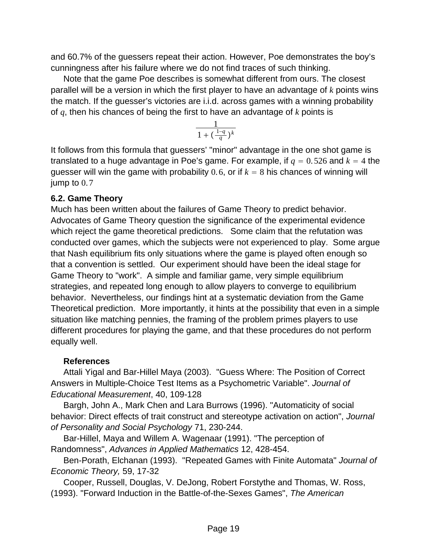and 60.7% of the guessers repeat their action. However, Poe demonstrates the boy's cunningness after his failure where we do not find traces of such thinking.

Note that the game Poe describes is somewhat different from ours. The closest parallel will be a version in which the first player to have an advantage of *k* points wins the match. If the guesser's victories are i.i.d. across games with a winning probability of *q*, then his chances of being the first to have an advantage of *k* points is

$$
\frac{1}{1+(\frac{1-q}{q})^k}
$$

It follows from this formula that guessers' "minor" advantage in the one shot game is translated to a huge advantage in Poe's game. For example, if  $q = 0.526$  and  $k = 4$  the guesser will win the game with probability 0.6, or if  $k = 8$  his chances of winning will jump to  $0.7$ 

### **6.2. Game Theory**

Much has been written about the failures of Game Theory to predict behavior. Advocates of Game Theory question the significance of the experimental evidence which reject the game theoretical predictions. Some claim that the refutation was conducted over games, which the subjects were not experienced to play. Some argue that Nash equilibrium fits only situations where the game is played often enough so that a convention is settled. Our experiment should have been the ideal stage for Game Theory to "work". A simple and familiar game, very simple equilibrium strategies, and repeated long enough to allow players to converge to equilibrium behavior. Nevertheless, our findings hint at a systematic deviation from the Game Theoretical prediction. More importantly, it hints at the possibility that even in a simple situation like matching pennies, the framing of the problem primes players to use different procedures for playing the game, and that these procedures do not perform equally well.

# **References**

Attali Yigal and Bar-Hillel Maya (2003). "Guess Where: The Position of Correct Answers in Multiple-Choice Test Items as a Psychometric Variable". *Journal of Educational Measurement*, 40, 109-128

Bargh, John A., Mark Chen and Lara Burrows (1996). "Automaticity of social behavior: Direct effects of trait construct and stereotype activation on action", *Journal of Personality and Social Psychology* 71, 230-244.

Bar-Hillel, Maya and Willem A. Wagenaar (1991). "The perception of Randomness", *Advances in Applied Mathematics* 12, 428-454.

Ben-Porath, Elchanan (1993). "Repeated Games with Finite Automata" *Journal of Economic Theory,* 59, 17-32

Cooper, Russell, Douglas, V. DeJong, Robert Forstythe and Thomas, W. Ross, (1993). "Forward Induction in the Battle-of-the-Sexes Games", *The American*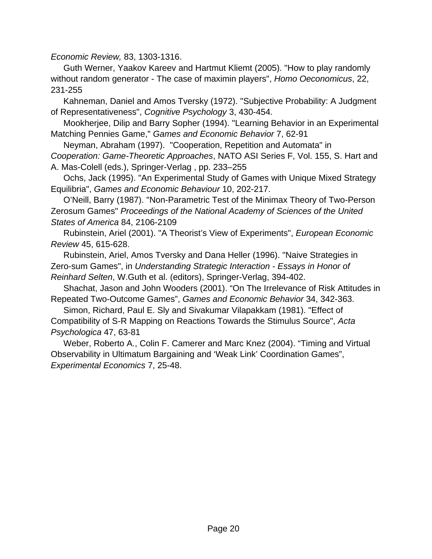*Economic Review,* 83, 1303-1316.

Guth Werner, Yaakov Kareev and Hartmut Kliemt (2005). "How to play randomly without random generator - The case of maximin players", *Homo Oeconomicus*, 22, 231-255

Kahneman, Daniel and Amos Tversky (1972). "Subjective Probability: A Judgment of Representativeness", *Cognitive Psychology* 3, 430-454.

Mookherjee, Dilip and Barry Sopher (1994). "Learning Behavior in an Experimental Matching Pennies Game," *Games and Economic Behavior* 7, 62-91

Neyman, Abraham (1997). "Cooperation, Repetition and Automata" in *Cooperation: Game-Theoretic Approaches*, NATO ASI Series F, Vol. 155, S. Hart and A. Mas-Colell (eds.), Springer-Verlag , pp. 233–255

Ochs, Jack (1995). "An Experimental Study of Games with Unique Mixed Strategy Equilibria", *Games and Economic Behaviour* 10, 202-217.

O'Neill, Barry (1987). "Non-Parametric Test of the Minimax Theory of Two-Person Zerosum Games" *Proceedings of the National Academy of Sciences of the United States of America* 84, 2106-2109

Rubinstein, Ariel (2001). "A Theorist's View of Experiments", *European Economic Review* 45, 615-628.

Rubinstein, Ariel, Amos Tversky and Dana Heller (1996). "Naive Strategies in Zero-sum Games", in *Understanding Strategic Interaction - Essays in Honor of Reinhard Selten*, W.Guth et al. (editors), Springer-Verlag, 394-402.

Shachat, Jason and John Wooders (2001). "On The Irrelevance of Risk Attitudes in Repeated Two-Outcome Games", *Games and Economic Behavior* 34, 342-363.

Simon, Richard, Paul E. Sly and Sivakumar Vilapakkam (1981). "Effect of Compatibility of S-R Mapping on Reactions Towards the Stimulus Source", *Acta Psychologica* 47, 63-81

Weber, Roberto A., Colin F. Camerer and Marc Knez (2004). "Timing and Virtual Observability in Ultimatum Bargaining and 'Weak Link' Coordination Games", *Experimental Economics* 7, 25-48.